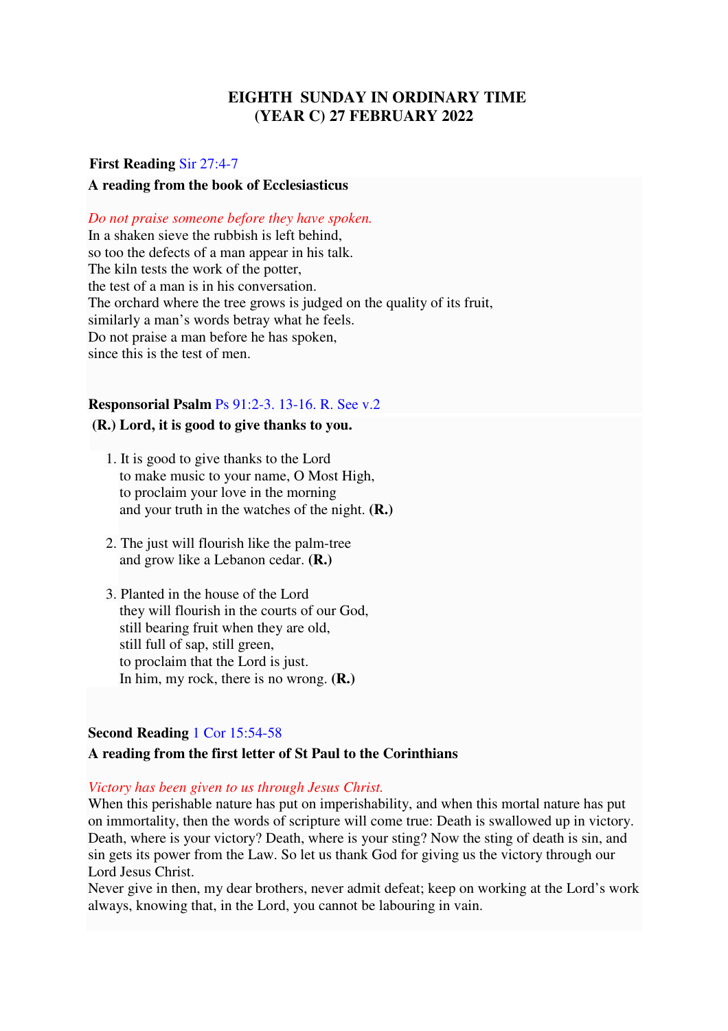## **EIGHTH SUNDAY IN ORDINARY TIME (YEAR C) 27 FEBRUARY 2022**

# **First Reading** Sir 27:4-7 **A reading from the book of Ecclesiasticus**

*Do not praise someone before they have spoken.* 

In a shaken sieve the rubbish is left behind, so too the defects of a man appear in his talk. The kiln tests the work of the potter, the test of a man is in his conversation. The orchard where the tree grows is judged on the quality of its fruit, similarly a man's words betray what he feels. Do not praise a man before he has spoken, since this is the test of men.

## **Responsorial Psalm** Ps 91:2-3. 13-16. R. See v.2

#### **(R.) Lord, it is good to give thanks to you.**

- 1. It is good to give thanks to the Lord to make music to your name, O Most High, to proclaim your love in the morning and your truth in the watches of the night. **(R.)**
- 2. The just will flourish like the palm-tree and grow like a Lebanon cedar. **(R.)**
- 3. Planted in the house of the Lord they will flourish in the courts of our God, still bearing fruit when they are old, still full of sap, still green, to proclaim that the Lord is just. In him, my rock, there is no wrong. **(R.)**

## **Second Reading** 1 Cor 15:54-58

## **A reading from the first letter of St Paul to the Corinthians**

## *Victory has been given to us through Jesus Christ.*

When this perishable nature has put on imperishability, and when this mortal nature has put on immortality, then the words of scripture will come true: Death is swallowed up in victory. Death, where is your victory? Death, where is your sting? Now the sting of death is sin, and sin gets its power from the Law. So let us thank God for giving us the victory through our Lord Jesus Christ.

Never give in then, my dear brothers, never admit defeat; keep on working at the Lord's work always, knowing that, in the Lord, you cannot be labouring in vain.